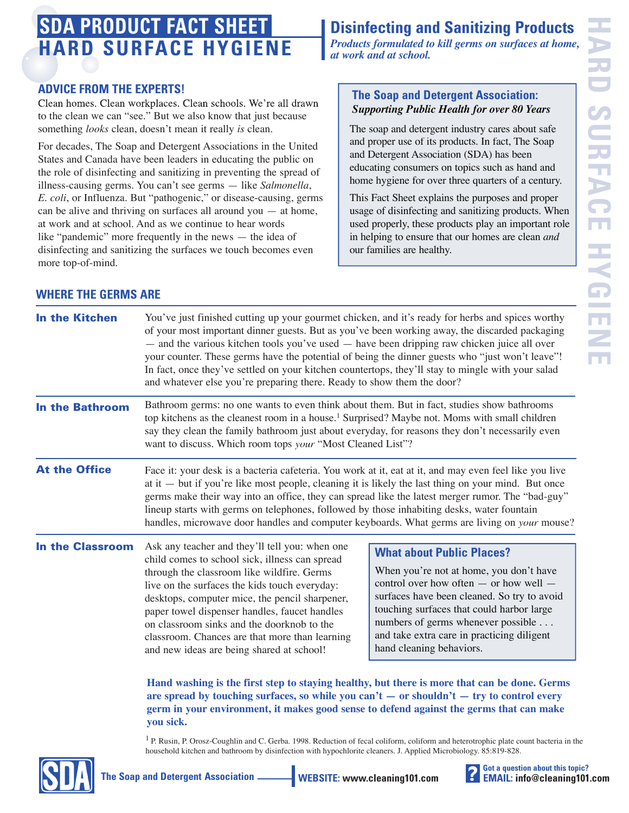# **HARD SURFACE HYGIENE SDA PRODUCT FACT SHEET**

#### **ADVICE FROM THE EXPERTS!**

Clean homes. Clean workplaces. Clean schools. We're all drawn to the clean we can "see." But we also know that just because something *looks* clean, doesn't mean it really *is* clean.

For decades, The Soap and Detergent Associations in the United States and Canada have been leaders in educating the public on the role of disinfecting and sanitizing in preventing the spread of illness-causing germs. You can't see germs — like *Salmonella*, *E. coli*, or Influenza. But "pathogenic," or disease-causing, germs can be alive and thriving on surfaces all around you — at home, at work and at school. And as we continue to hear words like "pandemic" more frequently in the news — the idea of disinfecting and sanitizing the surfaces we touch becomes even more top-of-mind.

# **Disinfecting and Sanitizing Products**

*Products formulated to kill germs on surfaces at home, at work and at school.*

#### **The Soap and Detergent Association:**  *Supporting Public Health for over 80 Years*

The soap and detergent industry cares about safe and proper use of its products. In fact, The Soap and Detergent Association (SDA) has been educating consumers on topics such as hand and home hygiene for over three quarters of a century.

This Fact Sheet explains the purposes and proper usage of disinfecting and sanitizing products. When used properly, these products play an important role in helping to ensure that our homes are clean *and* our families are healthy.

### **WHERE THE GERMS ARE**

| <b>In the Kitchen</b>   | You've just finished cutting up your gourmet chicken, and it's ready for herbs and spices worthy<br>of your most important dinner guests. But as you've been working away, the discarded packaging<br>- and the various kitchen tools you've used - have been dripping raw chicken juice all over<br>your counter. These germs have the potential of being the dinner guests who "just won't leave"!<br>In fact, once they've settled on your kitchen countertops, they'll stay to mingle with your salad<br>and whatever else you're preparing there. Ready to show them the door?                                                                                                                                                                      |                                                                                                                                                                                                                                                                                                                                   |
|-------------------------|----------------------------------------------------------------------------------------------------------------------------------------------------------------------------------------------------------------------------------------------------------------------------------------------------------------------------------------------------------------------------------------------------------------------------------------------------------------------------------------------------------------------------------------------------------------------------------------------------------------------------------------------------------------------------------------------------------------------------------------------------------|-----------------------------------------------------------------------------------------------------------------------------------------------------------------------------------------------------------------------------------------------------------------------------------------------------------------------------------|
| <b>In the Bathroom</b>  | Bathroom germs: no one wants to even think about them. But in fact, studies show bathrooms<br>top kitchens as the cleanest room in a house. <sup>1</sup> Surprised? Maybe not. Moms with small children<br>say they clean the family bathroom just about everyday, for reasons they don't necessarily even<br>want to discuss. Which room tops youn "Most Cleaned List"?                                                                                                                                                                                                                                                                                                                                                                                 |                                                                                                                                                                                                                                                                                                                                   |
| <b>At the Office</b>    | Face it: your desk is a bacteria cafeteria. You work at it, eat at it, and may even feel like you live<br>at it $-$ but if you're like most people, cleaning it is likely the last thing on your mind. But once<br>germs make their way into an office, they can spread like the latest merger rumor. The "bad-guy"<br>lineup starts with germs on telephones, followed by those inhabiting desks, water fountain<br>handles, microwave door handles and computer keyboards. What germs are living on youn mouse?                                                                                                                                                                                                                                        |                                                                                                                                                                                                                                                                                                                                   |
| <b>In the Classroom</b> | Ask any teacher and they'll tell you: when one<br>child comes to school sick, illness can spread<br>through the classroom like wildfire. Germs<br>live on the surfaces the kids touch everyday:<br>desktops, computer mice, the pencil sharpener,<br>paper towel dispenser handles, faucet handles<br>on classroom sinks and the doorknob to the<br>classroom. Chances are that more than learning<br>and new ideas are being shared at school!<br>Hand washing is the first step to staying healthy, but there is more that can be done. Germs<br>are spread by touching surfaces, so while you can't $-$ or shouldn't $-$ try to control every<br>germ in your environment, it makes good sense to defend against the germs that can make<br>you sick. | <b>What about Public Places?</b><br>When you're not at home, you don't have<br>control over how often - or how well -<br>surfaces have been cleaned. So try to avoid<br>touching surfaces that could harbor large<br>numbers of germs whenever possible<br>and take extra care in practicing diligent<br>hand cleaning behaviors. |
|                         | <sup>1</sup> P. Rusin, P. Orosz-Coughlin and C. Gerba. 1998. Reduction of fecal coliform, coliform and heterotrophic plate count bacteria in the<br>household kitchen and bathroom by disinfection with hypochlorite cleaners. J. Applied Microbiology. 85:819-828.                                                                                                                                                                                                                                                                                                                                                                                                                                                                                      |                                                                                                                                                                                                                                                                                                                                   |



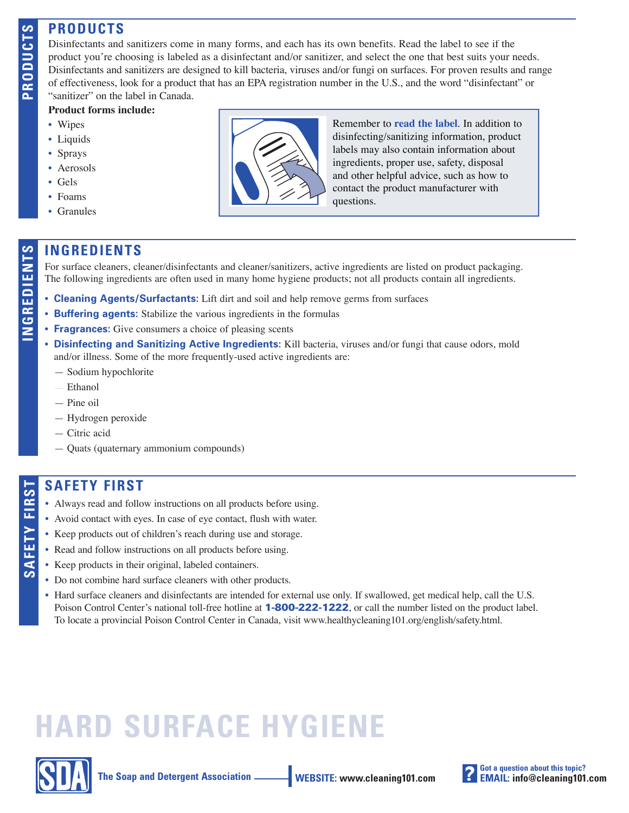# **PRODUCTS**

Disinfectants and sanitizers come in many forms, and each has its own benefits. Read the label to see if the product you're choosing is labeled as a disinfectant and/or sanitizer, and select the one that best suits your needs. Disinfectants and sanitizers are designed to kill bacteria, viruses and/or fungi on surfaces. For proven results and range of effectiveness, look for a product that has an EPA registration number in the U.S., and the word "disinfectant" or "sanitizer" on the label in Canada.

#### **Product forms include:**

- Wipes
- Liquids
- Sprays
- Aerosols
- Gels
- Foams
- Granules



Remember to **read the label**. In addition to disinfecting/sanitizing information, product labels may also contain information about ingredients, proper use, safety, disposal and other helpful advice, such as how to contact the product manufacturer with questions.

#### **INGREDIENTS**

**INGREDIENTS**<br>
For surface cleaners, cleaner/disinfectants and cleaner/sanitizers, active ingredients are listed on product packaging.<br>
The following ingredients are often used in many home hygiene products; not all produc The following ingredients are often used in many home hygiene products; not all products contain all ingredients.

- **Cleaning Agents/Surfactants:** Lift dirt and soil and help remove germs from surfaces
- **Buffering agents:** Stabilize the various ingredients in the formulas
- **Fragrances:** Give consumers a choice of pleasing scents
- **Disinfecting and Sanitizing Active Ingredients:** Kill bacteria, viruses and/or fungi that cause odors, mold and/or illness. Some of the more frequently-used active ingredients are:
	- Sodium hypochlorite
	- Ethanol
	- Pine oil
	- Hydrogen peroxide
	- Citric acid
	- Quats (quaternary ammonium compounds)

## **SAFETY FIRST**

- **SAFETY FIRST**<br>
 Always read and follow instructions on all products before using.<br>
 Avoid contact with eyes. In case of eye contact, flush with water.<br>
 Keep products out of children's reach during use and storage.<br>
	- Avoid contact with eyes. In case of eye contact, flush with water.
	- Keep products out of children's reach during use and storage.
	- Read and follow instructions on all products before using.
	- Keep products in their original, labeled containers.
	- Do not combine hard surface cleaners with other products.
	- Hard surface cleaners and disinfectants are intended for external use only. If swallowed, get medical help, call the U.S. Poison Control Center's national toll-free hotline at **1-800-222-1222**, or call the number listed on the product label. To locate a provincial Poison Control Center in Canada, visit www.healthycleaning101.org/english/safety.html.

# **HARD SURFACE HYGIENE**



**The Soap and Detergent Association \_\_\_\_\_\_\_\_ WEBSITE: www.cleaning101.com** 



**PRODUCTS**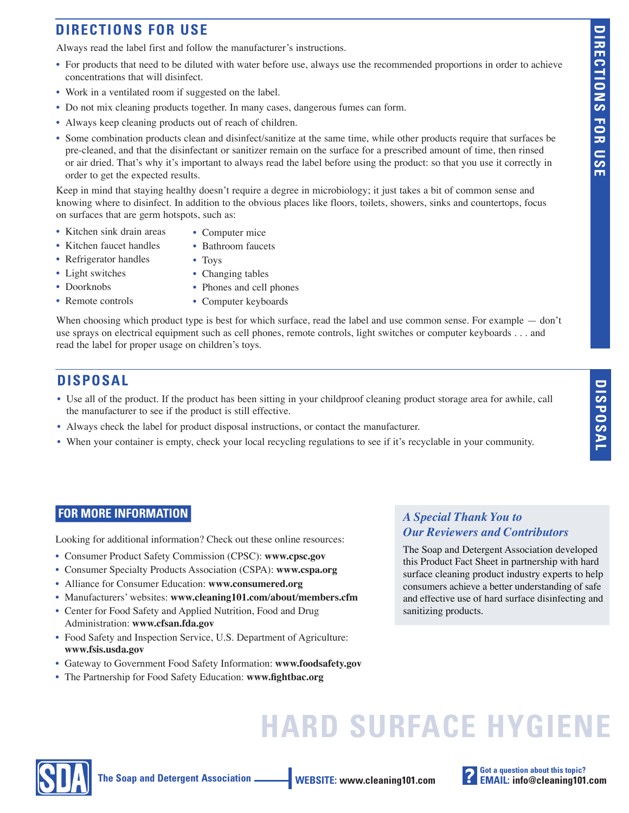# **DIRECTIONS FOR USE**

Always read the label first and follow the manufacturer's instructions.

- For products that need to be diluted with water before use, always use the recommended proportions in order to achieve concentrations that will disinfect.
- Work in a ventilated room if suggested on the label.
- Do not mix cleaning products together. In many cases, dangerous fumes can form.
- Always keep cleaning products out of reach of children.
- Some combination products clean and disinfect/sanitize at the same time, while other products require that surfaces be pre-cleaned, and that the disinfectant or sanitizer remain on the surface for a prescribed amount of time, then rinsed or air dried. That's why it's important to always read the label before using the product: so that you use it correctly in order to get the expected results.

Keep in mind that staying healthy doesn't require a degree in microbiology; it just takes a bit of common sense and knowing where to disinfect. In addition to the obvious places like floors, toilets, showers, sinks and countertops, focus on surfaces that are germ hotspots, such as:

- Kitchen sink drain areas
- Computer mice • Bathroom faucets
- Kitchen faucet handles • Refrigerator handles
- Toys
- Light switches
- Changing tables
- Doorknobs
- Phones and cell phones
- Remote controls
- Computer keyboards

When choosing which product type is best for which surface, read the label and use common sense. For example — don't use sprays on electrical equipment such as cell phones, remote controls, light switches or computer keyboards . . . and read the label for proper usage on children's toys.

### **DISPOSAL**

- Use all of the product. If the product has been sitting in your childproof cleaning product storage area for awhile, call the manufacturer to see if the product is still effective.
- Always check the label for product disposal instructions, or contact the manufacturer.
- When your container is empty, check your local recycling regulations to see if it's recyclable in your community.

#### **FOR MORE INFORMATION**

Looking for additional information? Check out these online resources:

- Consumer Product Safety Commission (CPSC): **www.cpsc.gov**
- Consumer Specialty Products Association (CSPA): **www.cspa.org**
- Alliance for Consumer Education: **www.consumered.org**
- Manufacturers' websites: **www.cleaning101.com/about/members.cfm**
- Center for Food Safety and Applied Nutrition, Food and Drug Administration: **www.cfsan.fda.gov**
- Food Safety and Inspection Service, U.S. Department of Agriculture: **www.fsis.usda.gov**
- Gateway to Government Food Safety Information: **www.foodsafety.gov**
- The Partnership for Food Safety Education: www.fightbac.org

#### *A Special Thank You to Our Reviewers and Contributors*

The Soap and Detergent Association developed this Product Fact Sheet in partnership with hard surface cleaning product industry experts to help consumers achieve a better understanding of safe and effective use of hard surface disinfecting and sanitizing products.

# **HARD SURFACE HYGIENE**